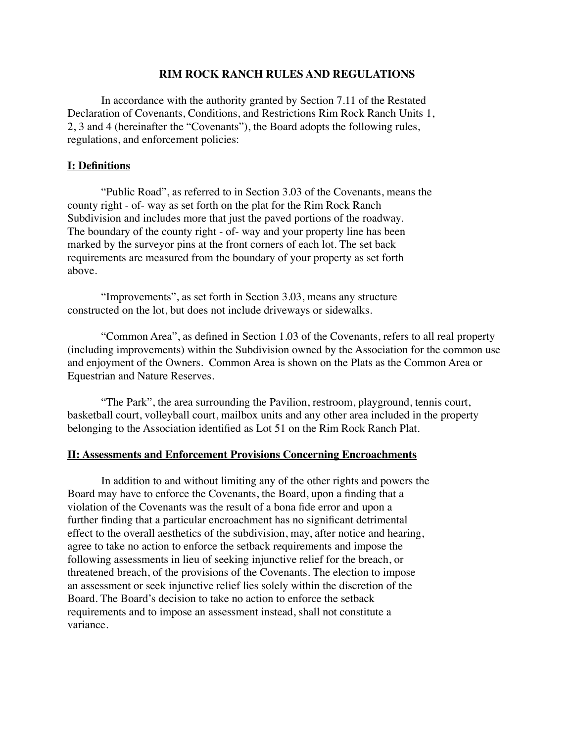### **RIM ROCK RANCH RULES AND REGULATIONS**

In accordance with the authority granted by Section 7.11 of the Restated Declaration of Covenants, Conditions, and Restrictions Rim Rock Ranch Units 1, 2, 3 and 4 (hereinafter the "Covenants"), the Board adopts the following rules, regulations, and enforcement policies:

### **I: Definitions**

"Public Road", as referred to in Section 3.03 of the Covenants, means the county right - of- way as set forth on the plat for the Rim Rock Ranch Subdivision and includes more that just the paved portions of the roadway. The boundary of the county right - of- way and your property line has been marked by the surveyor pins at the front corners of each lot. The set back requirements are measured from the boundary of your property as set forth above.

"Improvements", as set forth in Section 3.03, means any structure constructed on the lot, but does not include driveways or sidewalks.

"Common Area", as defined in Section 1.03 of the Covenants, refers to all real property (including improvements) within the Subdivision owned by the Association for the common use and enjoyment of the Owners. Common Area is shown on the Plats as the Common Area or Equestrian and Nature Reserves.

"The Park", the area surrounding the Pavilion, restroom, playground, tennis court, basketball court, volleyball court, mailbox units and any other area included in the property belonging to the Association identified as Lot 51 on the Rim Rock Ranch Plat.

#### **II: Assessments and Enforcement Provisions Concerning Encroachments**

In addition to and without limiting any of the other rights and powers the Board may have to enforce the Covenants, the Board, upon a finding that a violation of the Covenants was the result of a bona fide error and upon a further finding that a particular encroachment has no significant detrimental effect to the overall aesthetics of the subdivision, may, after notice and hearing, agree to take no action to enforce the setback requirements and impose the following assessments in lieu of seeking injunctive relief for the breach, or threatened breach, of the provisions of the Covenants. The election to impose an assessment or seek injunctive relief lies solely within the discretion of the Board. The Board's decision to take no action to enforce the setback requirements and to impose an assessment instead, shall not constitute a variance.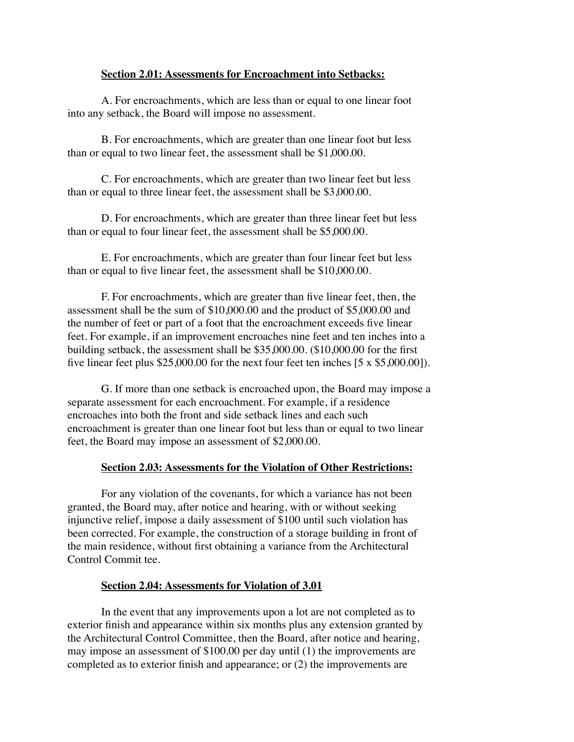### **Section 2.01: Assessments for Encroachment into Setbacks:**

A. For encroachments, which are less than or equal to one linear foot into any setback, the Board will impose no assessment.

B. For encroachments, which are greater than one linear foot but less than or equal to two linear feet, the assessment shall be \$1,000.00.

C. For encroachments, which are greater than two linear feet but less than or equal to three linear feet, the assessment shall be \$3,000.00.

D. For encroachments, which are greater than three linear feet but less than or equal to four linear feet, the assessment shall be \$5,000.00.

E. For encroachments, which are greater than four linear feet but less than or equal to five linear feet, the assessment shall be \$10,000.00.

F. For encroachments, which are greater than five linear feet, then, the assessment shall be the sum of \$10,000.00 and the product of \$5,000.00 and the number of feet or part of a foot that the encroachment exceeds five linear feet. For example, if an improvement encroaches nine feet and ten inches into a building setback, the assessment shall be \$35,000.00. (\$10,000.00 for the first five linear feet plus \$25,000.00 for the next four feet ten inches [5 x \$5,000.00]).

G. If more than one setback is encroached upon, the Board may impose a separate assessment for each encroachment. For example, if a residence encroaches into both the front and side setback lines and each such encroachment is greater than one linear foot but less than or equal to two linear feet, the Board may impose an assessment of \$2,000.00.

## **Section 2.03: Assessments for the Violation of Other Restrictions:**

For any violation of the covenants, for which a variance has not been granted, the Board may, after notice and hearing, with or without seeking injunctive relief, impose a daily assessment of \$100 until such violation has been corrected. For example, the construction of a storage building in front of the main residence, without first obtaining a variance from the Architectural Control Commit tee.

## **Section 2.04: Assessments for Violation of 3.01**

In the event that any improvements upon a lot are not completed as to exterior finish and appearance within six months plus any extension granted by the Architectural Control Committee, then the Board, after notice and hearing, may impose an assessment of \$100.00 per day until (1) the improvements are completed as to exterior finish and appearance; or (2) the improvements are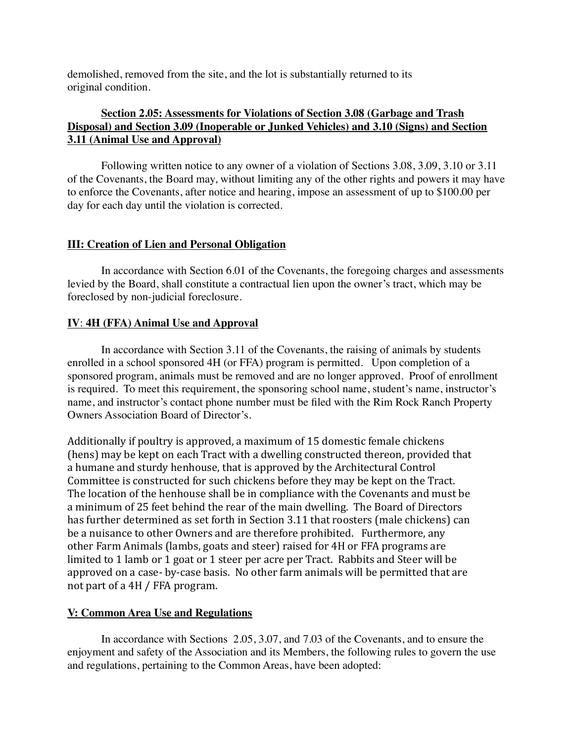demolished, removed from the site, and the lot is substantially returned to its original condition.

# **Section 2.05: Assessments for Violations of Section 3.08 (Garbage and Trash Disposal) and Section 3.09 (Inoperable or Junked Vehicles) and 3.10 (Signs) and Section 3.11 (Animal Use and Approval)**

Following written notice to any owner of a violation of Sections 3.08, 3.09, 3.10 or 3.11 of the Covenants, the Board may, without limiting any of the other rights and powers it may have to enforce the Covenants, after notice and hearing, impose an assessment of up to \$100.00 per day for each day until the violation is corrected.

# **III: Creation of Lien and Personal Obligation**

In accordance with Section 6.01 of the Covenants, the foregoing charges and assessments levied by the Board, shall constitute a contractual lien upon the owner's tract, which may be foreclosed by non-judicial foreclosure.

# **IV**: **4H (FFA) Animal Use and Approval**

In accordance with Section 3.11 of the Covenants, the raising of animals by students enrolled in a school sponsored 4H (or FFA) program is permitted. Upon completion of a sponsored program, animals must be removed and are no longer approved. Proof of enrollment is required. To meet this requirement, the sponsoring school name, student's name, instructor's name, and instructor's contact phone number must be filed with the Rim Rock Ranch Property Owners Association Board of Director's.

Additionally if poultry is approved, a maximum of 15 domestic female chickens (hens) may be kept on each Tract with a dwelling constructed thereon, provided that a humane and sturdy henhouse, that is approved by the Architectural Control Committee is constructed for such chickens before they may be kept on the Tract. The location of the henhouse shall be in compliance with the Covenants and must be a minimum of 25 feet behind the rear of the main dwelling. The Board of Directors has further determined as set forth in Section 3.11 that roosters (male chickens) can be a nuisance to other Owners and are therefore prohibited. Furthermore, any other Farm Animals (lambs, goats and steer) raised for 4H or FFA programs are limited to 1 lamb or 1 goat or 1 steer per acre per Tract. Rabbits and Steer will be approved on a case- by-case basis. No other farm animals will be permitted that are not part of a 4H / FFA program.

## **V: Common Area Use and Regulations**

In accordance with Sections 2.05, 3.07, and 7.03 of the Covenants, and to ensure the enjoyment and safety of the Association and its Members, the following rules to govern the use and regulations, pertaining to the Common Areas, have been adopted: